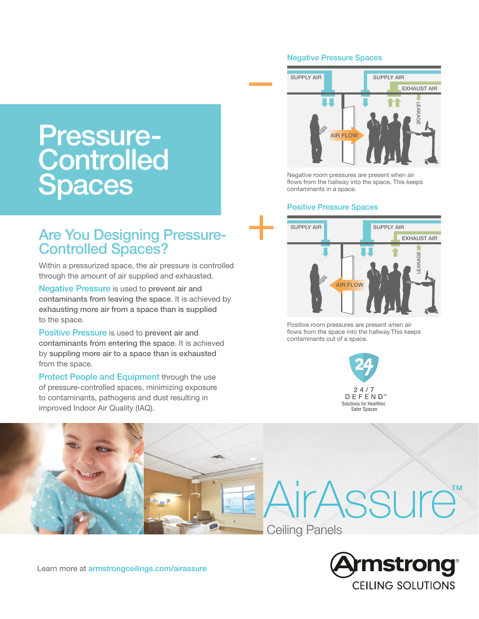# Pressure-**Controlled** Spaces

# Are You Designing Pressure-Controlled Spaces?

Within a pressurized space, the air pressure is controlled through the amount of air supplied and exhausted.

Negative Pressure is used to prevent air and contaminants from leaving the space. It is achieved by exhausting more air from a space than is supplied to the space.

Positive Pressure is used to prevent air and contaminants from entering the space. It is achieved by suppling more air to a space than is exhausted from the space.

Protect People and Equipment through the use of pressure-controlled spaces, minimizing exposure to contaminants, pathogens and dust resulting in improved Indoor Air Quality (IAQ).

#### Negative Pressure Spaces



Negative room pressures are present when air flows from the hallway into the space. This keeps contaminants in a space.

#### Positive Pressure Spaces



Positive room pressures are present when air flows from the space into the hallway.This keeps contaminants out of a space.



AirAssure™ Ceiling Panels



Learn more at [armstrongceilings.com/airassure](https://www.armstrongceilings.com/commercial/en/performance/defend-portfolio.html#redirect_term=airassure)